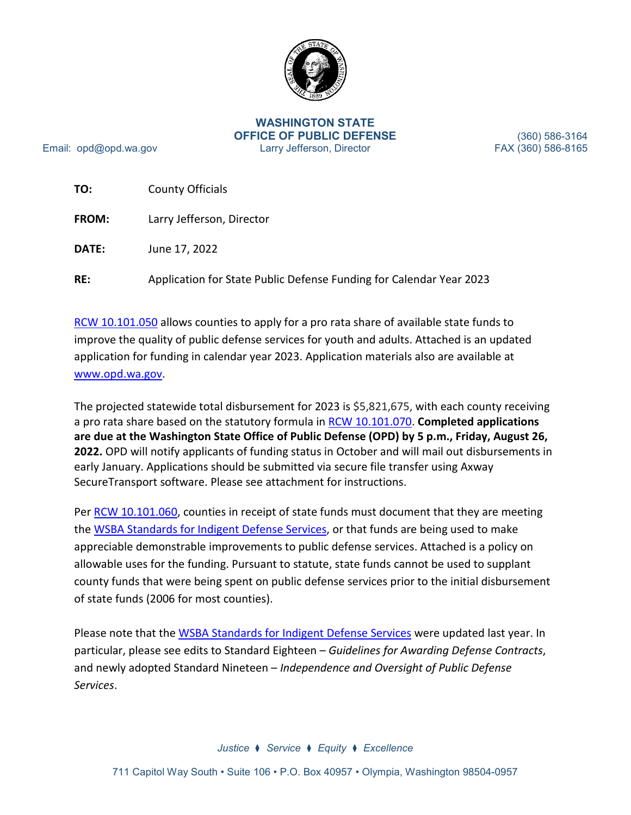

#### **WASHINGTON STATE OFFICE OF PUBLIC DEFENSE** Larry Jefferson, Director

Email: opd@opd.wa.gov

(360) 586-3164 FAX (360) 586-8165

| TO:          | <b>County Officials</b>                                             |
|--------------|---------------------------------------------------------------------|
| <b>FROM:</b> | Larry Jefferson, Director                                           |
| DATE:        | June 17, 2022                                                       |
| RE:          | Application for State Public Defense Funding for Calendar Year 2023 |

[RCW 10.101.050](http://apps.leg.wa.gov/rcw/default.aspx?cite=10.101.050) allows counties to apply for a pro rata share of available state funds to improve the quality of public defense services for youth and adults. Attached is an updated application for funding in calendar year 2023. Application materials also are available at [www.opd.wa.gov.](http://www.opd.wa.gov/)

The projected statewide total disbursement for 2023 is \$5,821,675, with each county receiving a pro rata share based on the statutory formula in [RCW 10.101.070.](https://apps.leg.wa.gov/rcw/default.aspx?cite=10.101.070) **Completed applications are due at the Washington State Office of Public Defense (OPD) by 5 p.m., Friday, August 26, 2022.** OPD will notify applicants of funding status in October and will mail out disbursements in early January. Applications should be submitted via secure file transfer using Axway SecureTransport software. Please see attachment for instructions.

Per [RCW 10.101.060,](http://app.leg.wa.gov/RCW/default.aspx?cite=10.101.060) counties in receipt of state funds must document that they are meeting the [WSBA Standards for Indigent Defense Services,](https://wsba.org/docs/default-source/legal-community/committees/council-on-public-defense/standards-for-indigent-defense-services-approved-by-bog-revised-september-2021.pdf?sfvrsn=b40d17f1_4) or that funds are being used to make appreciable demonstrable improvements to public defense services. Attached is a policy on allowable uses for the funding. Pursuant to statute, state funds cannot be used to supplant county funds that were being spent on public defense services prior to the initial disbursement of state funds (2006 for most counties).

Please note that the [WSBA Standards for Indigent Defense Services](https://wsba.org/docs/default-source/legal-community/committees/council-on-public-defense/standards-for-indigent-defense-services-approved-by-bog-revised-september-2021.pdf?sfvrsn=b40d17f1_4) were updated last year. In particular, please see edits to Standard Eighteen – *Guidelines for Awarding Defense Contracts*, and newly adopted Standard Nineteen – *Independence and Oversight of Public Defense Services*.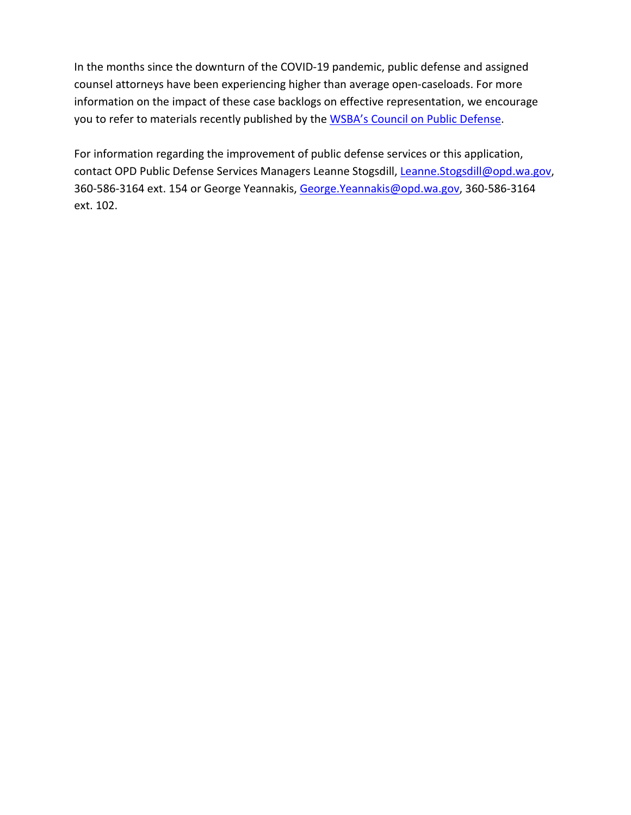In the months since the downturn of the COVID-19 pandemic, public defense and assigned counsel attorneys have been experiencing higher than average open-caseloads. For more information on the impact of these case backlogs on effective representation, we encourage you to refer to materials recently published by the [WSBA's Council on Public Defense.](https://www.wsba.org/connect-serve/committees-boards-other-groups/council-public-defense)

For information regarding the improvement of public defense services or this application, contact OPD Public Defense Services Managers Leanne Stogsdill, [Leanne.Stogsdill@opd.wa.gov,](mailto:Leanne.Stogsdill@opd.wa.gov) 360-586-3164 ext. 154 or George Yeannakis, [George.Yeannakis@opd.wa.gov,](mailto:George.Yeannakis@opd.wa.gov) 360-586-3164 ext. 102.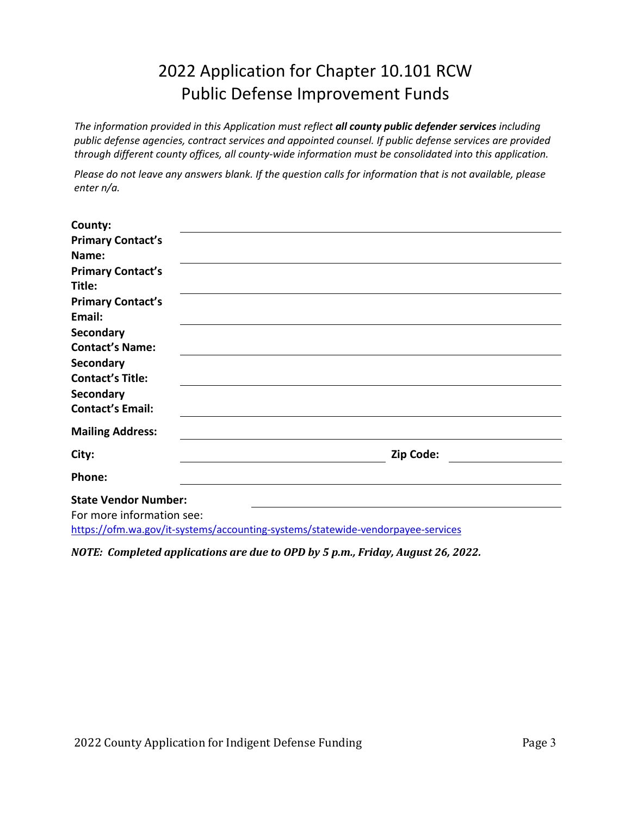# 2022 Application for Chapter 10.101 RCW Public Defense Improvement Funds

*The information provided in this Application must reflect all county public defender services including public defense agencies, contract services and appointed counsel. If public defense services are provided through different county offices, all county-wide information must be consolidated into this application.*

*Please do not leave any answers blank. If the question calls for information that is not available, please enter n/a.*

| County:                                                                                                      |           |
|--------------------------------------------------------------------------------------------------------------|-----------|
| <b>Primary Contact's</b>                                                                                     |           |
| Name:                                                                                                        |           |
| <b>Primary Contact's</b>                                                                                     |           |
| Title:                                                                                                       |           |
| <b>Primary Contact's</b>                                                                                     |           |
| Email:                                                                                                       |           |
| <b>Secondary</b>                                                                                             |           |
| <b>Contact's Name:</b>                                                                                       |           |
| Secondary                                                                                                    |           |
| <b>Contact's Title:</b>                                                                                      |           |
| Secondary                                                                                                    |           |
| <b>Contact's Email:</b>                                                                                      |           |
| <b>Mailing Address:</b>                                                                                      |           |
| City:                                                                                                        | Zip Code: |
| Phone:                                                                                                       |           |
| <b>State Vendor Number:</b>                                                                                  |           |
| For more information see:<br>https://ofm.wa.gov/it-systems/accounting-systems/statewide-vendorpayee-services |           |

*NOTE: Completed applications are due to OPD by 5 p.m., Friday, August 26, 2022.*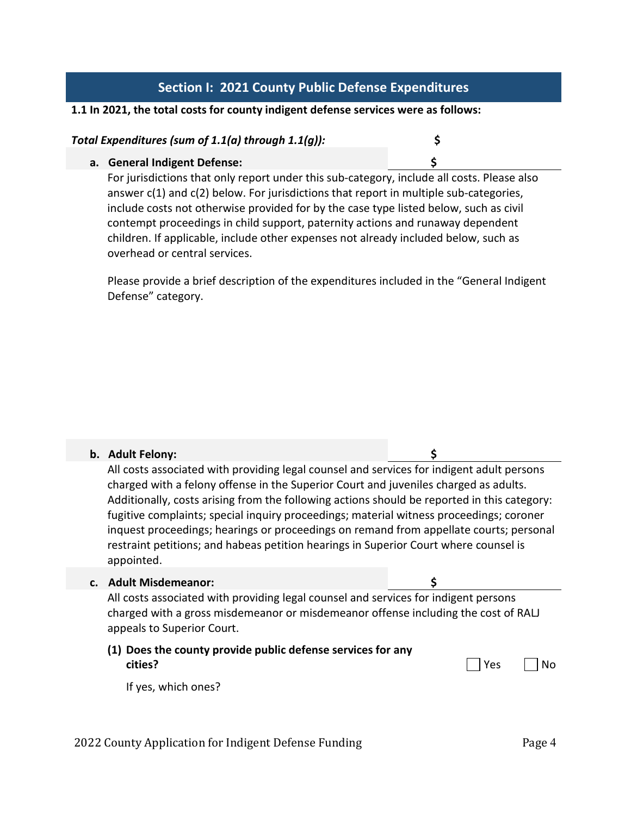## **Section I: 2021 County Public Defense Expenditures**

#### **1.1 In 2021, the total costs for county indigent defense services were as follows:**

### *Total Expenditures (sum of 1.1(a) through 1.1(g)):* **\$**

#### **a. General Indigent Defense: \$**

For jurisdictions that only report under this sub-category, include all costs. Please also answer  $c(1)$  and  $c(2)$  below. For jurisdictions that report in multiple sub-categories, include costs not otherwise provided for by the case type listed below, such as civil contempt proceedings in child support, paternity actions and runaway dependent children. If applicable, include other expenses not already included below, such as overhead or central services.

Please provide a brief description of the expenditures included in the "General Indigent Defense" category.

#### **b. Adult Felony: \$**

All costs associated with providing legal counsel and services for indigent adult persons charged with a felony offense in the Superior Court and juveniles charged as adults. Additionally, costs arising from the following actions should be reported in this category: fugitive complaints; special inquiry proceedings; material witness proceedings; coroner inquest proceedings; hearings or proceedings on remand from appellate courts; personal restraint petitions; and habeas petition hearings in Superior Court where counsel is appointed.

#### **c. Adult Misdemeanor: \$**

All costs associated with providing legal counsel and services for indigent persons charged with a gross misdemeanor or misdemeanor offense including the cost of RALJ appeals to Superior Court.

## **(1) Does the county provide public defense services for any cities?** No

If yes, which ones?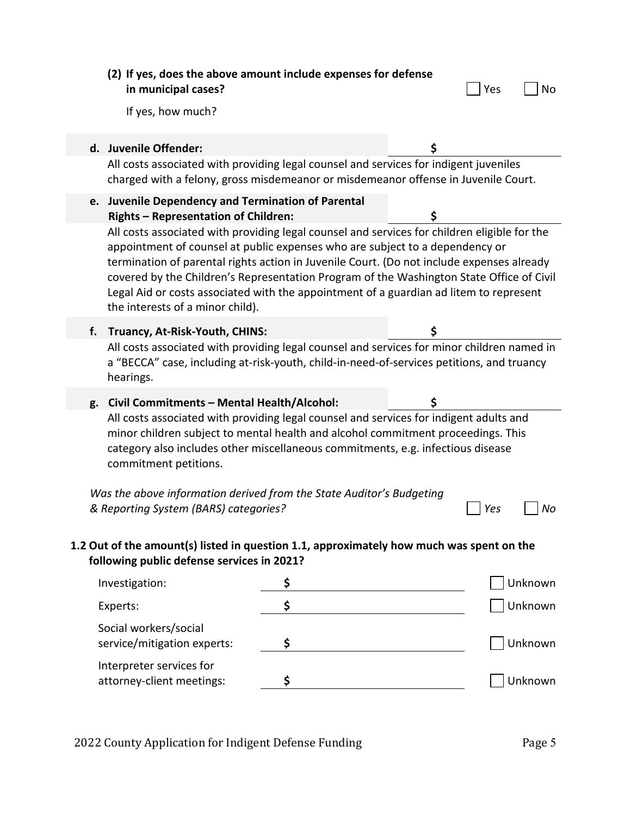|    | (2) If yes, does the above amount include expenses for defense<br>in municipal cases?                                                                                                                                                                                                                                                                                                                                                                                                                                                                                                                             |    |    | Yes | No      |
|----|-------------------------------------------------------------------------------------------------------------------------------------------------------------------------------------------------------------------------------------------------------------------------------------------------------------------------------------------------------------------------------------------------------------------------------------------------------------------------------------------------------------------------------------------------------------------------------------------------------------------|----|----|-----|---------|
|    | If yes, how much?                                                                                                                                                                                                                                                                                                                                                                                                                                                                                                                                                                                                 |    |    |     |         |
|    | d. Juvenile Offender:<br>All costs associated with providing legal counsel and services for indigent juveniles<br>charged with a felony, gross misdemeanor or misdemeanor offense in Juvenile Court.                                                                                                                                                                                                                                                                                                                                                                                                              |    | \$ |     |         |
|    | Juvenile Dependency and Termination of Parental<br>e.<br>\$<br><b>Rights - Representation of Children:</b><br>All costs associated with providing legal counsel and services for children eligible for the<br>appointment of counsel at public expenses who are subject to a dependency or<br>termination of parental rights action in Juvenile Court. (Do not include expenses already<br>covered by the Children's Representation Program of the Washington State Office of Civil<br>Legal Aid or costs associated with the appointment of a guardian ad litem to represent<br>the interests of a minor child). |    |    |     |         |
| f. | Truancy, At-Risk-Youth, CHINS:                                                                                                                                                                                                                                                                                                                                                                                                                                                                                                                                                                                    |    | \$ |     |         |
|    | All costs associated with providing legal counsel and services for minor children named in<br>a "BECCA" case, including at-risk-youth, child-in-need-of-services petitions, and truancy<br>hearings.                                                                                                                                                                                                                                                                                                                                                                                                              |    |    |     |         |
|    | g. Civil Commitments - Mental Health/Alcohol:<br>All costs associated with providing legal counsel and services for indigent adults and<br>minor children subject to mental health and alcohol commitment proceedings. This<br>category also includes other miscellaneous commitments, e.g. infectious disease<br>commitment petitions.<br>Was the above information derived from the State Auditor's Budgeting                                                                                                                                                                                                   |    |    |     |         |
|    | & Reporting System (BARS) categories?                                                                                                                                                                                                                                                                                                                                                                                                                                                                                                                                                                             |    |    | Yes | Nο      |
|    | 1.2 Out of the amount(s) listed in question 1.1, approximately how much was spent on the<br>following public defense services in 2021?                                                                                                                                                                                                                                                                                                                                                                                                                                                                            |    |    |     |         |
|    | Investigation:                                                                                                                                                                                                                                                                                                                                                                                                                                                                                                                                                                                                    | \$ |    |     | Unknown |
|    | Experts:                                                                                                                                                                                                                                                                                                                                                                                                                                                                                                                                                                                                          | \$ |    |     | Unknown |
|    | Social workers/social<br>service/mitigation experts:                                                                                                                                                                                                                                                                                                                                                                                                                                                                                                                                                              | \$ |    |     | Unknown |
|    | Interpreter services for<br>attorney-client meetings:                                                                                                                                                                                                                                                                                                                                                                                                                                                                                                                                                             | \$ |    |     | Unknown |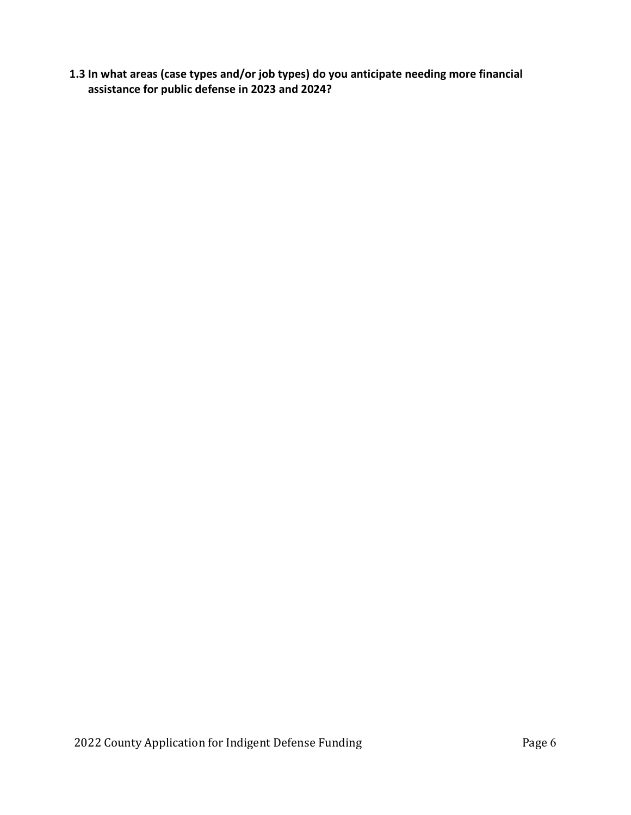**1.3 In what areas (case types and/or job types) do you anticipate needing more financial assistance for public defense in 2023 and 2024?**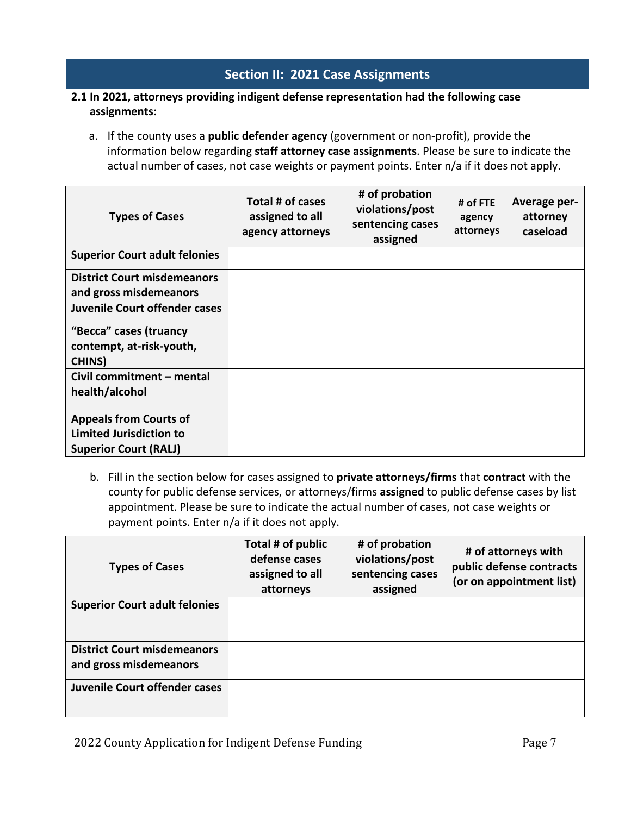## **Section II: 2021 Case Assignments**

### **2.1 In 2021, attorneys providing indigent defense representation had the following case assignments:**

a. If the county uses a **public defender agency** (government or non-profit), provide the information below regarding **staff attorney case assignments**. Please be sure to indicate the actual number of cases, not case weights or payment points. Enter n/a if it does not apply.

| <b>Types of Cases</b>                                                                           | Total # of cases<br>assigned to all<br>agency attorneys | # of probation<br>violations/post<br>sentencing cases<br>assigned | # of FTE<br>agency<br>attorneys | Average per-<br>attorney<br>caseload |
|-------------------------------------------------------------------------------------------------|---------------------------------------------------------|-------------------------------------------------------------------|---------------------------------|--------------------------------------|
| <b>Superior Court adult felonies</b>                                                            |                                                         |                                                                   |                                 |                                      |
| <b>District Court misdemeanors</b><br>and gross misdemeanors                                    |                                                         |                                                                   |                                 |                                      |
| <b>Juvenile Court offender cases</b>                                                            |                                                         |                                                                   |                                 |                                      |
| "Becca" cases (truancy<br>contempt, at-risk-youth,<br><b>CHINS</b> )                            |                                                         |                                                                   |                                 |                                      |
| Civil commitment - mental<br>health/alcohol                                                     |                                                         |                                                                   |                                 |                                      |
| <b>Appeals from Courts of</b><br><b>Limited Jurisdiction to</b><br><b>Superior Court (RALJ)</b> |                                                         |                                                                   |                                 |                                      |

b. Fill in the section below for cases assigned to **private attorneys/firms** that **contract** with the county for public defense services, or attorneys/firms **assigned** to public defense cases by list appointment. Please be sure to indicate the actual number of cases, not case weights or payment points. Enter n/a if it does not apply.

| <b>Types of Cases</b>                                        | Total # of public<br>defense cases<br>assigned to all<br>attorneys | # of probation<br>violations/post<br>sentencing cases<br>assigned | # of attorneys with<br>public defense contracts<br>(or on appointment list) |
|--------------------------------------------------------------|--------------------------------------------------------------------|-------------------------------------------------------------------|-----------------------------------------------------------------------------|
| <b>Superior Court adult felonies</b>                         |                                                                    |                                                                   |                                                                             |
| <b>District Court misdemeanors</b><br>and gross misdemeanors |                                                                    |                                                                   |                                                                             |
| Juvenile Court offender cases                                |                                                                    |                                                                   |                                                                             |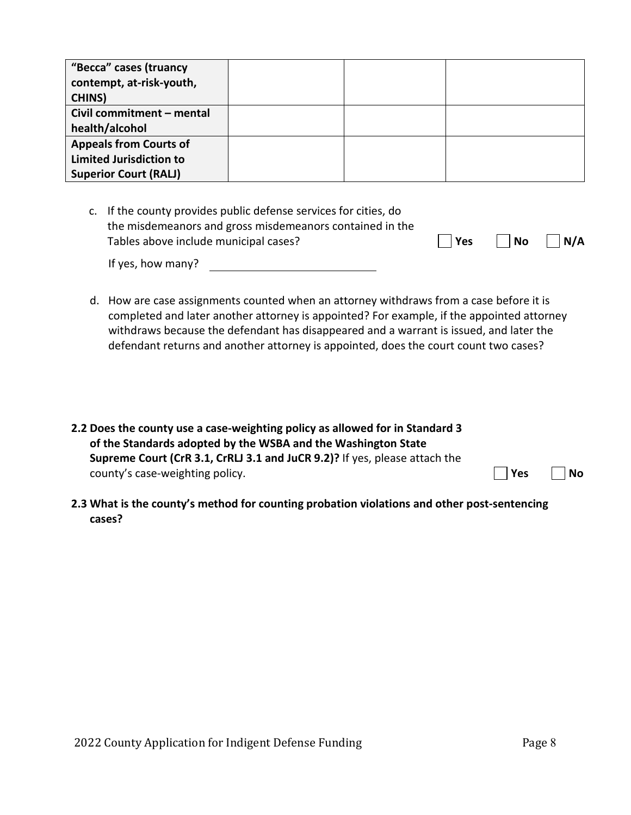| "Becca" cases (truancy         |  |  |
|--------------------------------|--|--|
| contempt, at-risk-youth,       |  |  |
| <b>CHINS</b> )                 |  |  |
| Civil commitment - mental      |  |  |
| health/alcohol                 |  |  |
| <b>Appeals from Courts of</b>  |  |  |
| <b>Limited Jurisdiction to</b> |  |  |
| <b>Superior Court (RALJ)</b>   |  |  |

c. If the county provides public defense services for cities, do the misdemeanors and gross misdemeanors contained in the Tables above include municipal cases?  $\Box$  Yes  $\Box$  No  $\Box$  N/A

| If yes, how many? |  |  |
|-------------------|--|--|
|                   |  |  |

- d. How are case assignments counted when an attorney withdraws from a case before it is completed and later another attorney is appointed? For example, if the appointed attorney withdraws because the defendant has disappeared and a warrant is issued, and later the defendant returns and another attorney is appointed, does the court count two cases?
- **2.2 Does the county use a case-weighting policy as allowed for in Standard 3 of the Standards adopted by the WSBA and the Washington State Supreme Court (CrR 3.1, CrRLJ 3.1 and JuCR 9.2)?** If yes, please attach the county's case-weighting policy. **We are also controlled as a set of the SNO No**
- **2.3 What is the county's method for counting probation violations and other post-sentencing cases?**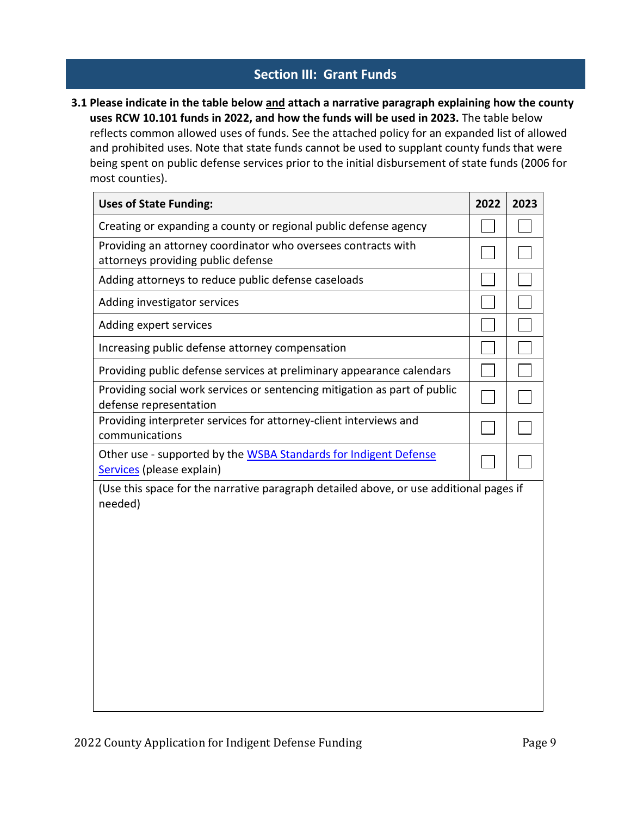## **Section III: Grant Funds**

**3.1 Please indicate in the table below and attach a narrative paragraph explaining how the county uses RCW 10.101 funds in 2022, and how the funds will be used in 2023.** The table below reflects common allowed uses of funds. See the attached policy for an expanded list of allowed and prohibited uses. Note that state funds cannot be used to supplant county funds that were being spent on public defense services prior to the initial disbursement of state funds (2006 for most counties).

| <b>Uses of State Funding:</b>                                                                       | 2022 | 2023 |
|-----------------------------------------------------------------------------------------------------|------|------|
| Creating or expanding a county or regional public defense agency                                    |      |      |
| Providing an attorney coordinator who oversees contracts with<br>attorneys providing public defense |      |      |
| Adding attorneys to reduce public defense caseloads                                                 |      |      |
| Adding investigator services                                                                        |      |      |
| Adding expert services                                                                              |      |      |
| Increasing public defense attorney compensation                                                     |      |      |
| Providing public defense services at preliminary appearance calendars                               |      |      |
| Providing social work services or sentencing mitigation as part of public<br>defense representation |      |      |
| Providing interpreter services for attorney-client interviews and<br>communications                 |      |      |
| Other use - supported by the WSBA Standards for Indigent Defense<br>Services (please explain)       |      |      |
| (Use this space for the narrative paragraph detailed above, or use additional pages if<br>needed)   |      |      |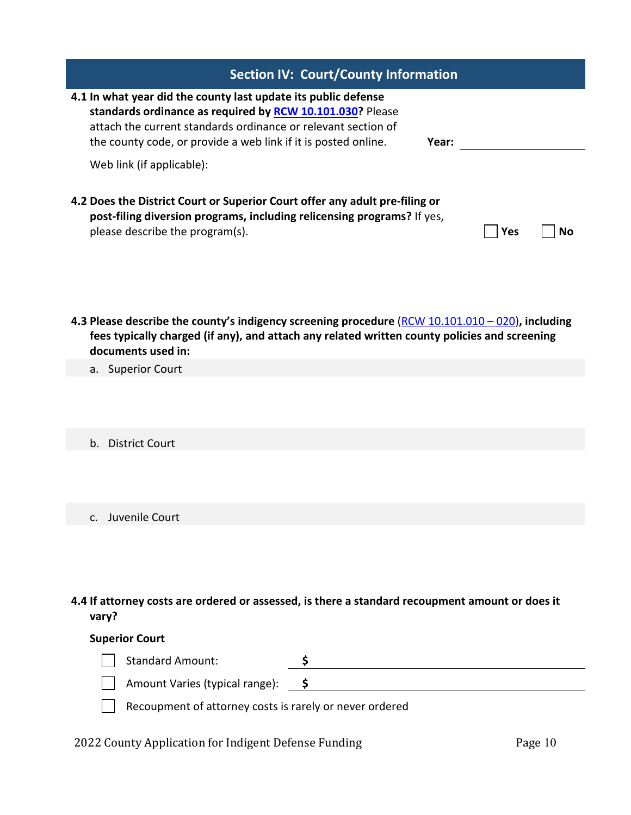| <b>Section IV: Court/County Information</b>                                                                                                                                                                                                                                     |     |    |
|---------------------------------------------------------------------------------------------------------------------------------------------------------------------------------------------------------------------------------------------------------------------------------|-----|----|
| 4.1 In what year did the county last update its public defense<br>standards ordinance as required by <b>RCW 10.101.030</b> ? Please<br>attach the current standards ordinance or relevant section of<br>the county code, or provide a web link if it is posted online.<br>Year: |     |    |
| Web link (if applicable):                                                                                                                                                                                                                                                       |     |    |
| 4.2 Does the District Court or Superior Court offer any adult pre-filing or<br>post-filing diversion programs, including relicensing programs? If yes,<br>please describe the program(s).                                                                                       | Yes | Nο |

**4.3 Please describe the county's indigency screening procedure** [\(RCW 10.101.010 –](http://app.leg.wa.gov/RCW/default.aspx?cite=10.101.010) 020)**, including fees typically charged (if any), and attach any related written county policies and screening documents used in:**

a. Superior Court

b. District Court

c. Juvenile Court

**4.4 If attorney costs are ordered or assessed, is there a standard recoupment amount or does it vary?**

#### **Superior Court**

| <b>Standard Amount:</b>                                 |  |  |
|---------------------------------------------------------|--|--|
| Amount Varies (typical range):                          |  |  |
| Recoupment of attorney costs is rarely or never ordered |  |  |

2022 County Application for Indigent Defense Funding Page 10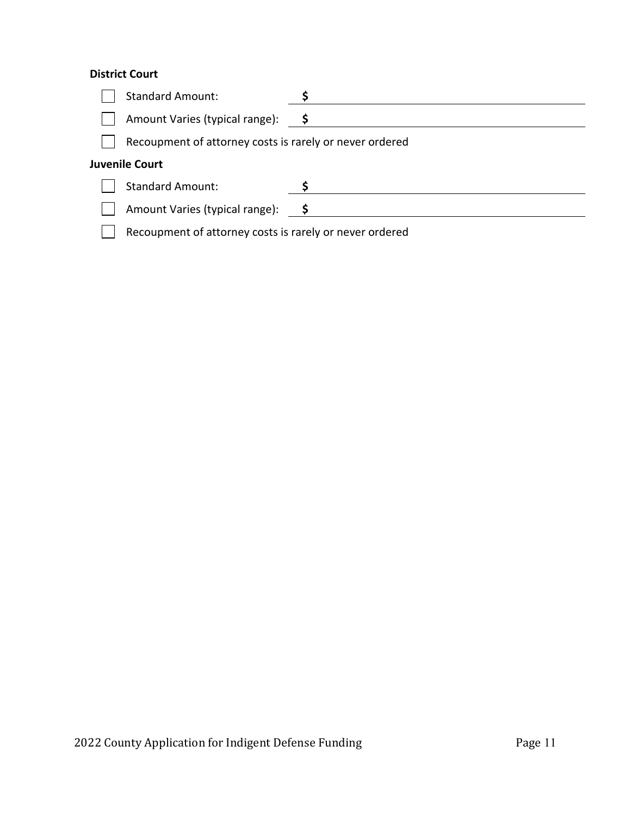## **District Court**

| <b>Standard Amount:</b>                                 |     |
|---------------------------------------------------------|-----|
| Amount Varies (typical range):                          | s s |
| Recoupment of attorney costs is rarely or never ordered |     |
| <b>Juvenile Court</b>                                   |     |
| <b>Standard Amount:</b>                                 |     |
| Amount Varies (typical range):                          | s s |
| Recoupment of attorney costs is rarely or never ordered |     |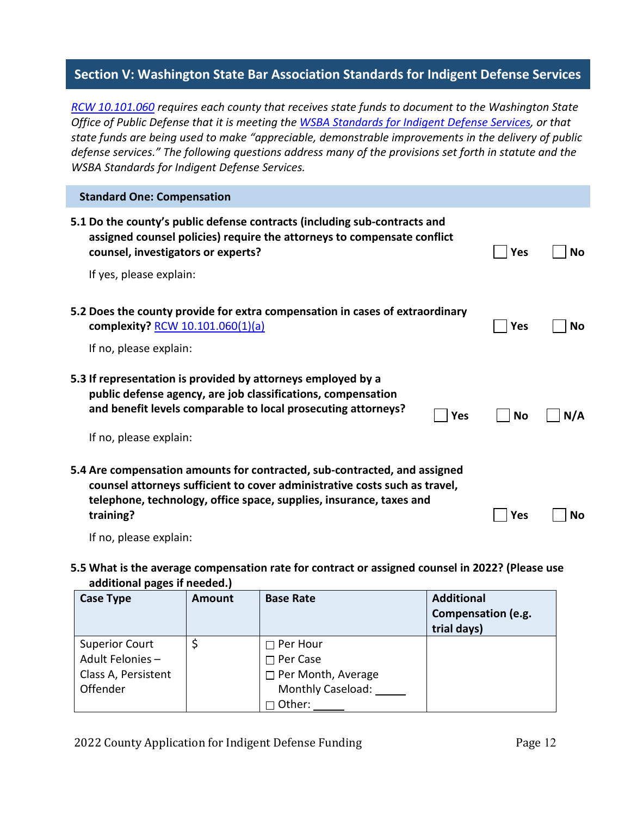## **Section V: Washington State Bar Association Standards for Indigent Defense Services**

*[RCW 10.101.060](http://app.leg.wa.gov/RCW/default.aspx?cite=10.101.060) requires each county that receives state funds to document to the Washington State Office of Public Defense that it is meeting th[e WSBA Standards for Indigent Defense Services,](https://wsba.org/docs/default-source/legal-community/committees/council-on-public-defense/standards-for-indigent-defense-services-approved-by-bog-revised-september-2021.pdf?sfvrsn=b40d17f1_4) or that state funds are being used to make "appreciable, demonstrable improvements in the delivery of public defense services." The following questions address many of the provisions set forth in statute and the WSBA Standards for Indigent Defense Services.*

| <b>Standard One: Compensation</b>                                                                                                                                                                                                           |            |     |
|---------------------------------------------------------------------------------------------------------------------------------------------------------------------------------------------------------------------------------------------|------------|-----|
| 5.1 Do the county's public defense contracts (including sub-contracts and<br>assigned counsel policies) require the attorneys to compensate conflict<br>counsel, investigators or experts?                                                  | <b>Yes</b> | No  |
| If yes, please explain:                                                                                                                                                                                                                     |            |     |
| 5.2 Does the county provide for extra compensation in cases of extraordinary<br>complexity? RCW 10.101.060(1)(a)<br>If no, please explain:                                                                                                  | Yes        | No  |
| 5.3 If representation is provided by attorneys employed by a<br>public defense agency, are job classifications, compensation<br>and benefit levels comparable to local prosecuting attorneys?<br><b>Yes</b><br>If no, please explain:       | No         | N/A |
| 5.4 Are compensation amounts for contracted, sub-contracted, and assigned<br>counsel attorneys sufficient to cover administrative costs such as travel,<br>telephone, technology, office space, supplies, insurance, taxes and<br>training? | Yes        | No  |
| If no, please explain:                                                                                                                                                                                                                      |            |     |

#### **5.5 What is the average compensation rate for contract or assigned counsel in 2022? (Please use additional pages if needed.)**

| <b>Case Type</b>      | <b>Amount</b> | <b>Base Rate</b>          | <b>Additional</b><br>Compensation (e.g.<br>trial days) |
|-----------------------|---------------|---------------------------|--------------------------------------------------------|
| <b>Superior Court</b> |               | $\Box$ Per Hour           |                                                        |
| Adult Felonies-       |               | $\Box$ Per Case           |                                                        |
| Class A, Persistent   |               | $\Box$ Per Month, Average |                                                        |
| Offender              |               | <b>Monthly Caseload:</b>  |                                                        |
|                       |               | Other:                    |                                                        |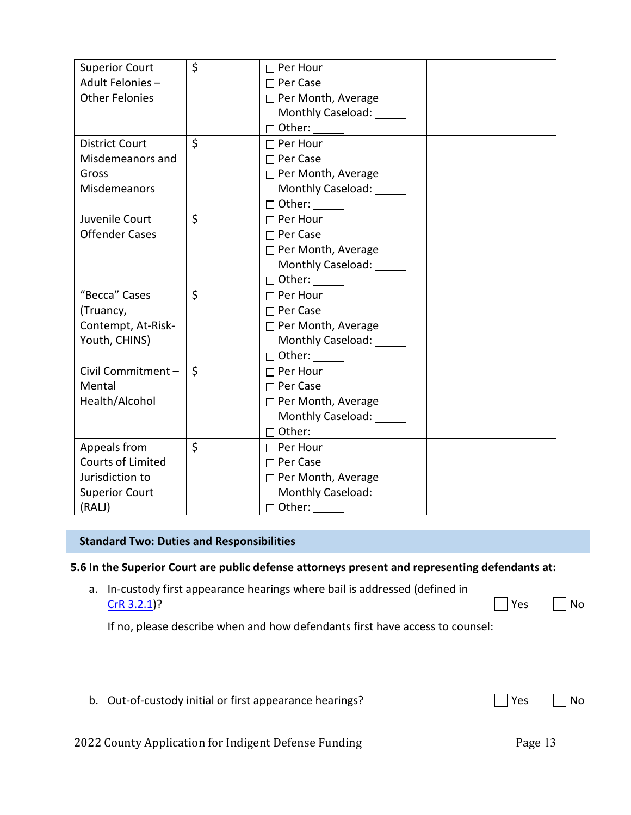| <b>Superior Court</b>    | \$      | $\Box$ Per Hour                 |  |
|--------------------------|---------|---------------------------------|--|
| Adult Felonies-          |         | $\Box$ Per Case                 |  |
| <b>Other Felonies</b>    |         | □ Per Month, Average            |  |
|                          |         | Monthly Caseload:               |  |
|                          |         |                                 |  |
| <b>District Court</b>    | $\zeta$ | $\Box$ Per Hour                 |  |
|                          |         |                                 |  |
| Misdemeanors and         |         | $\Box$ Per Case                 |  |
| Gross                    |         | □ Per Month, Average            |  |
| Misdemeanors             |         | Monthly Caseload: _____         |  |
|                          |         |                                 |  |
| Juvenile Court           | $\zeta$ | $\Box$ Per Hour                 |  |
| <b>Offender Cases</b>    |         | $\Box$ Per Case                 |  |
|                          |         | $\Box$ Per Month, Average       |  |
|                          |         | Monthly Caseload: _____         |  |
|                          |         |                                 |  |
| "Becca" Cases            | $\zeta$ | $\Box$ Per Hour                 |  |
| (Truancy,                |         | $\Box$ Per Case                 |  |
| Contempt, At-Risk-       |         | $\Box$ Per Month, Average       |  |
| Youth, CHINS)            |         | Monthly Caseload: ______        |  |
|                          |         |                                 |  |
| Civil Commitment -       | $\zeta$ | $\Box$ Per Hour                 |  |
| Mental                   |         | $\Box$ Per Case                 |  |
| Health/Alcohol           |         | $\Box$ Per Month, Average       |  |
|                          |         | Monthly Caseload: ______        |  |
|                          |         | □ Other: ______ ____________    |  |
| Appeals from             | \$      | $\Box$ Per Hour                 |  |
| <b>Courts of Limited</b> |         | $\Box$ Per Case                 |  |
| Jurisdiction to          |         | □ Per Month, Average            |  |
| <b>Superior Court</b>    |         | Monthly Caseload: Monthly       |  |
| (RALJ)                   |         | $\Box$ Other: $\_\_\_\_\_\_\_\$ |  |

### **Standard Two: Duties and Responsibilities**

#### **5.6 In the Superior Court are public defense attorneys present and representing defendants at:**

a. In-custody first appearance hearings where bail is addressed (defined in  $CrR$  3.2.1)?  $\Box$  Yes  $\Box$  No

If no, please describe when and how defendants first have access to counsel:

|  | b. Out-of-custody initial or first appearance hearings? |  | $\Box$ Yes $\Box$ No |  |
|--|---------------------------------------------------------|--|----------------------|--|
|  |                                                         |  |                      |  |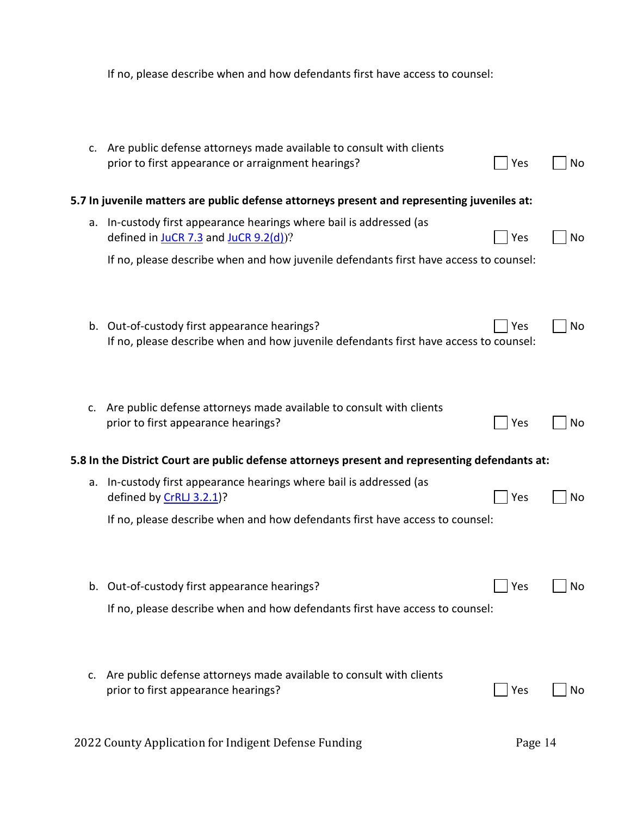|    | If no, please describe when and how defendants first have access to counsel:                                                          |         |    |
|----|---------------------------------------------------------------------------------------------------------------------------------------|---------|----|
|    | c. Are public defense attorneys made available to consult with clients<br>prior to first appearance or arraignment hearings?          | Yes     | No |
|    | 5.7 In juvenile matters are public defense attorneys present and representing juveniles at:                                           |         |    |
|    | a. In-custody first appearance hearings where bail is addressed (as<br>defined in $JuCR$ 7.3 and $JuCR$ 9.2(d))?                      | Yes     | No |
|    | If no, please describe when and how juvenile defendants first have access to counsel:                                                 |         |    |
|    | b. Out-of-custody first appearance hearings?<br>If no, please describe when and how juvenile defendants first have access to counsel: | Yes     | No |
| C. | Are public defense attorneys made available to consult with clients<br>prior to first appearance hearings?                            | Yes     | No |
|    | 5.8 In the District Court are public defense attorneys present and representing defendants at:                                        |         |    |
|    | a. In-custody first appearance hearings where bail is addressed (as<br>defined by CrRLJ 3.2.1)?                                       | Yes     | No |
|    | If no, please describe when and how defendants first have access to counsel:                                                          |         |    |
| b. | Out-of-custody first appearance hearings?<br>If no, please describe when and how defendants first have access to counsel:             | Yes     | No |
|    |                                                                                                                                       |         |    |
| c. | Are public defense attorneys made available to consult with clients<br>prior to first appearance hearings?                            | Yes     | No |
|    | 2022 County Application for Indigent Defense Funding                                                                                  | Page 14 |    |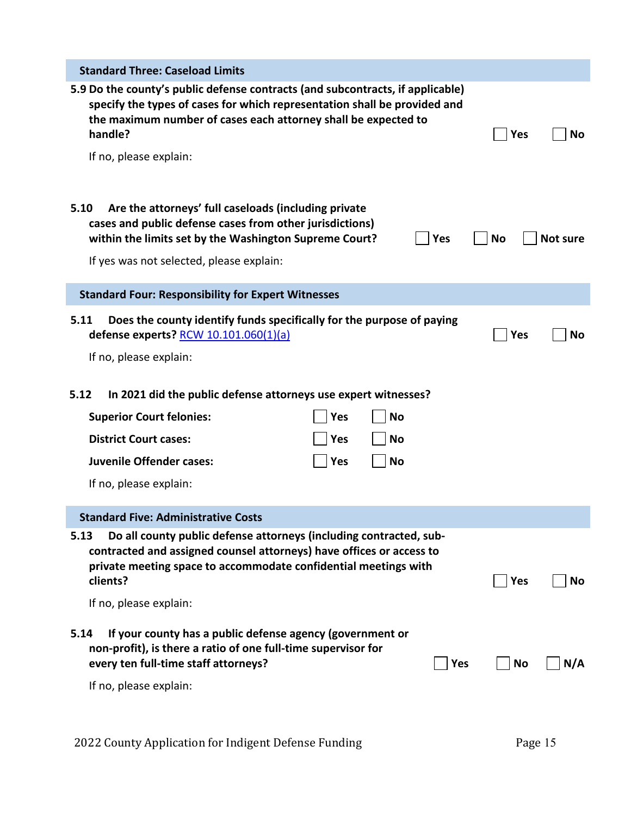| <b>Standard Three: Caseload Limits</b>                                                                                                                                                                                                                             |    |                  |
|--------------------------------------------------------------------------------------------------------------------------------------------------------------------------------------------------------------------------------------------------------------------|----|------------------|
| 5.9 Do the county's public defense contracts (and subcontracts, if applicable)<br>specify the types of cases for which representation shall be provided and<br>the maximum number of cases each attorney shall be expected to<br>handle?<br>If no, please explain: |    | <b>Yes</b><br>No |
| Are the attorneys' full caseloads (including private<br>5.10<br>cases and public defense cases from other jurisdictions)<br>within the limits set by the Washington Supreme Court?<br>Yes<br>If yes was not selected, please explain:                              | No | <b>Not sure</b>  |
| <b>Standard Four: Responsibility for Expert Witnesses</b>                                                                                                                                                                                                          |    |                  |
| Does the county identify funds specifically for the purpose of paying<br>5.11<br>defense experts? RCW 10.101.060(1)(a)                                                                                                                                             |    | <b>Yes</b><br>No |
| If no, please explain:                                                                                                                                                                                                                                             |    |                  |
| In 2021 did the public defense attorneys use expert witnesses?<br>5.12                                                                                                                                                                                             |    |                  |
| <b>Superior Court felonies:</b><br><b>Yes</b><br><b>No</b>                                                                                                                                                                                                         |    |                  |
| <b>District Court cases:</b><br><b>Yes</b><br><b>No</b>                                                                                                                                                                                                            |    |                  |
| <b>Juvenile Offender cases:</b><br><b>Yes</b><br><b>No</b>                                                                                                                                                                                                         |    |                  |
| If no, please explain:                                                                                                                                                                                                                                             |    |                  |
| <b>Standard Five: Administrative Costs</b>                                                                                                                                                                                                                         |    |                  |
| Do all county public defense attorneys (including contracted, sub-<br>5.13<br>contracted and assigned counsel attorneys) have offices or access to<br>private meeting space to accommodate confidential meetings with<br>clients?<br>If no, please explain:        |    | <b>Yes</b><br>No |
| If your county has a public defense agency (government or<br>5.14<br>non-profit), is there a ratio of one full-time supervisor for<br>every ten full-time staff attorneys?<br><b>Yes</b><br>If no, please explain:                                                 |    | <b>No</b><br>N/A |
|                                                                                                                                                                                                                                                                    |    |                  |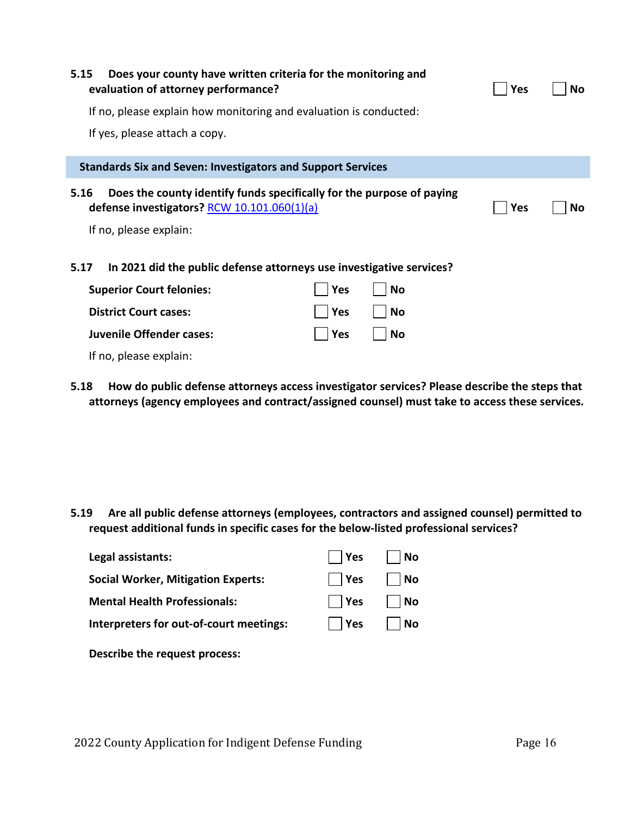| Does your county have written criteria for the monitoring and<br>5.15<br>evaluation of attorney performance?                   |            |    | Yes | No |
|--------------------------------------------------------------------------------------------------------------------------------|------------|----|-----|----|
| If no, please explain how monitoring and evaluation is conducted:                                                              |            |    |     |    |
| If yes, please attach a copy.                                                                                                  |            |    |     |    |
| <b>Standards Six and Seven: Investigators and Support Services</b>                                                             |            |    |     |    |
| Does the county identify funds specifically for the purpose of paying<br>5.16<br>defense investigators? RCW $10.101.060(1)(a)$ |            |    | Yes | No |
| If no, please explain:                                                                                                         |            |    |     |    |
| 5.17<br>In 2021 did the public defense attorneys use investigative services?                                                   |            |    |     |    |
| <b>Superior Court felonies:</b>                                                                                                | <b>Yes</b> | No |     |    |
| <b>District Court cases:</b>                                                                                                   | <b>Yes</b> | No |     |    |
| Juvenile Offender cases:                                                                                                       | <b>Yes</b> | No |     |    |

- If no, please explain:
- **5.18 How do public defense attorneys access investigator services? Please describe the steps that attorneys (agency employees and contract/assigned counsel) must take to access these services.**

**5.19 Are all public defense attorneys (employees, contractors and assigned counsel) permitted to request additional funds in specific cases for the below-listed professional services?**

| Legal assistants:                         | Yes         | No                 |
|-------------------------------------------|-------------|--------------------|
| <b>Social Worker, Mitigation Experts:</b> | $\vert$ Yes | No                 |
| <b>Mental Health Professionals:</b>       | $\vert$ Yes | $\vert$ $\vert$ No |
| Interpreters for out-of-court meetings:   | $\vert$ Yes | $\vert$ $\vert$ No |
|                                           |             |                    |

**Describe the request process:**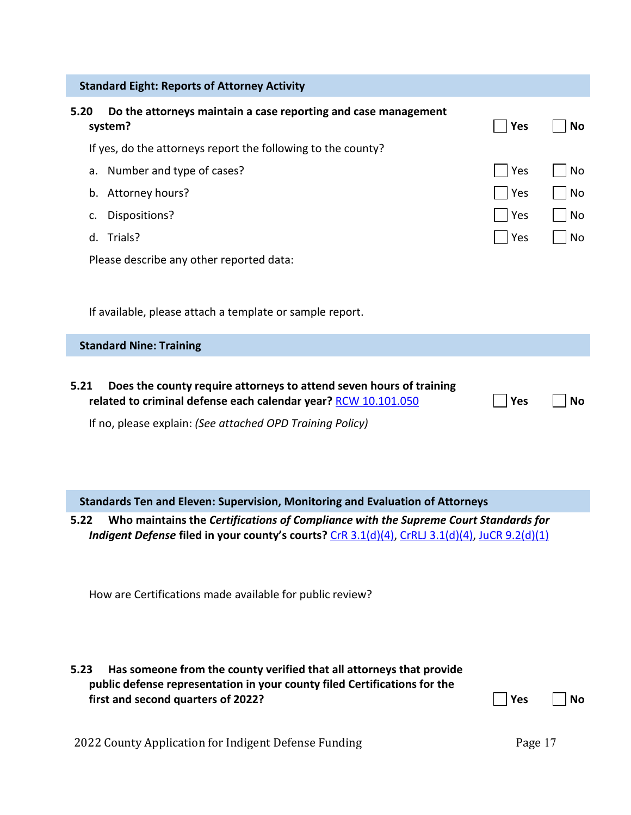|      | <b>Standard Eight: Reports of Attorney Activity</b>                                                                                                                                                |                       |           |
|------|----------------------------------------------------------------------------------------------------------------------------------------------------------------------------------------------------|-----------------------|-----------|
| 5.20 | Do the attorneys maintain a case reporting and case management<br>system?                                                                                                                          | Yes                   | No        |
|      | If yes, do the attorneys report the following to the county?                                                                                                                                       |                       |           |
|      | a. Number and type of cases?                                                                                                                                                                       | Yes                   | No        |
|      | b. Attorney hours?                                                                                                                                                                                 | Yes                   | No        |
| c.   | Dispositions?                                                                                                                                                                                      | Yes                   | <b>No</b> |
|      | d. Trials?                                                                                                                                                                                         | Yes                   | No        |
|      | Please describe any other reported data:                                                                                                                                                           |                       |           |
|      |                                                                                                                                                                                                    |                       |           |
|      | If available, please attach a template or sample report.                                                                                                                                           |                       |           |
|      | <b>Standard Nine: Training</b>                                                                                                                                                                     |                       |           |
| 5.21 | Does the county require attorneys to attend seven hours of training<br>related to criminal defense each calendar year? RCW 10.101.050<br>If no, please explain: (See attached OPD Training Policy) | <b>Yes</b>            | No        |
|      | Standards Ten and Eleven: Supervision, Monitoring and Evaluation of Attorneys                                                                                                                      |                       |           |
| 5.22 | Who maintains the Certifications of Compliance with the Supreme Court Standards for<br>Indigent Defense filed in your county's courts? CrR 3.1(d)(4), CrRLJ 3.1(d)(4), JuCR 9.2(d)(1)              |                       |           |
| 5.23 | How are Certifications made available for public review?<br>Has someone from the county verified that all attorneys that provide                                                                   |                       |           |
|      | public defense representation in your county filed Certifications for the<br>first and second quarters of 2022?<br>2022 County Application for Indigent Defense Funding                            | <b>Yes</b><br>Page 17 | <b>No</b> |
|      |                                                                                                                                                                                                    |                       |           |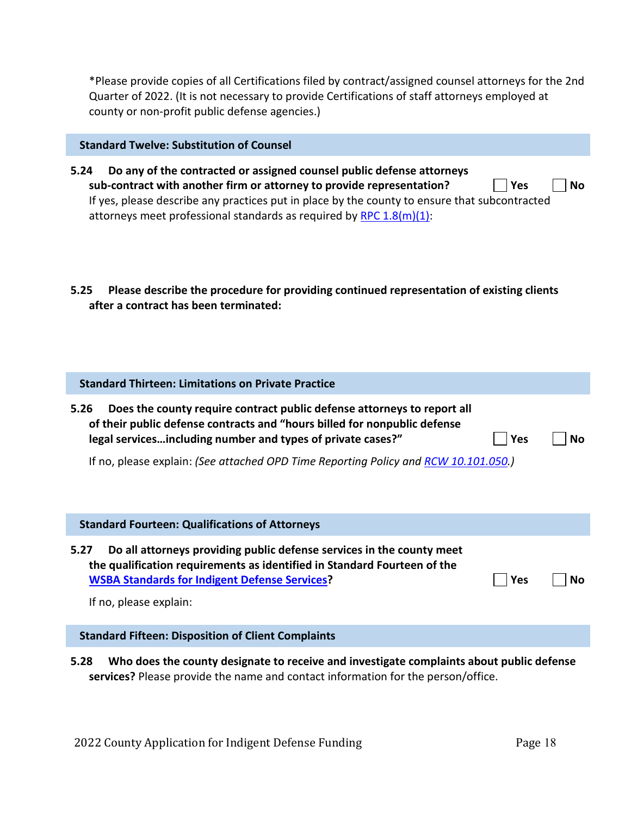\*Please provide copies of all Certifications filed by contract/assigned counsel attorneys for the 2nd Quarter of 2022. (It is not necessary to provide Certifications of staff attorneys employed at county or non-profit public defense agencies.)

#### **Standard Twelve: Substitution of Counsel**

- **5.24 Do any of the contracted or assigned counsel public defense attorneys sub-contract with another firm or attorney to provide representation?** | | Yes | | No If yes, please describe any practices put in place by the county to ensure that subcontracted attorneys meet professional standards as required by RPC  $1.8(m)(1)$ :
- **5.25 Please describe the procedure for providing continued representation of existing clients after a contract has been terminated:**

#### **Standard Thirteen: Limitations on Private Practice**

| 5.26 | Does the county require contract public defense attorneys to report all   |            |           |
|------|---------------------------------------------------------------------------|------------|-----------|
|      | of their public defense contracts and "hours billed for nonpublic defense |            |           |
|      | legal servicesincluding number and types of private cases?"               | $\Box$ Yes | $\Box$ No |

|  |  |  | If no, please explain: (See attached OPD Time Reporting Policy and RCW 10.101.050.) |
|--|--|--|-------------------------------------------------------------------------------------|
|--|--|--|-------------------------------------------------------------------------------------|

| <b>Standard Fourteen: Qualifications of Attorneys</b>                                                                                                                                                                                       |     |    |
|---------------------------------------------------------------------------------------------------------------------------------------------------------------------------------------------------------------------------------------------|-----|----|
| Do all attorneys providing public defense services in the county meet<br>5.27<br>the qualification requirements as identified in Standard Fourteen of the<br><b>WSBA Standards for Indigent Defense Services?</b><br>If no, please explain: | Yes | Nο |

#### **Standard Fifteen: Disposition of Client Complaints**

**5.28 Who does the county designate to receive and investigate complaints about public defense services?** Please provide the name and contact information for the person/office.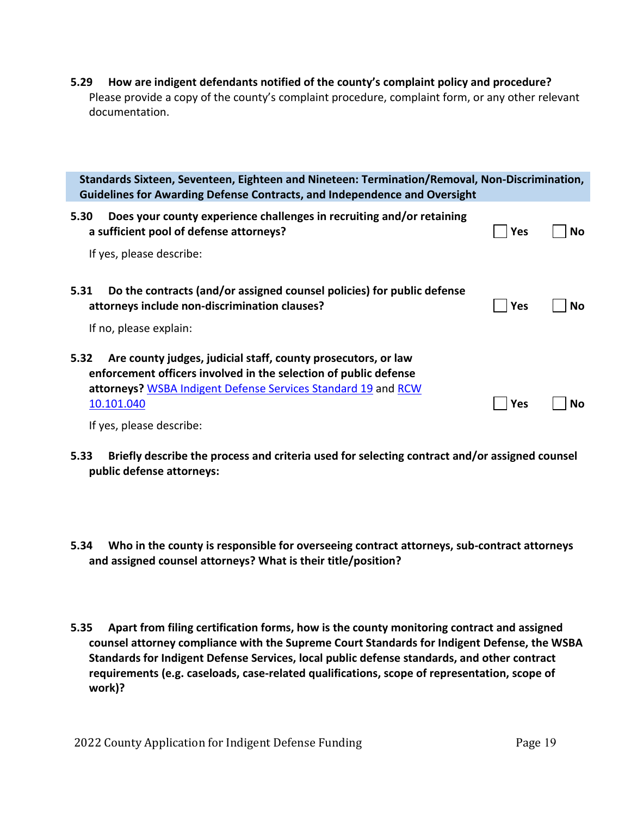**5.29 How are indigent defendants notified of the county's complaint policy and procedure?** Please provide a copy of the county's complaint procedure, complaint form, or any other relevant documentation.

|      | Standards Sixteen, Seventeen, Eighteen and Nineteen: Termination/Removal, Non-Discrimination,<br>Guidelines for Awarding Defense Contracts, and Independence and Oversight                                       |            |           |
|------|------------------------------------------------------------------------------------------------------------------------------------------------------------------------------------------------------------------|------------|-----------|
| 5.30 | Does your county experience challenges in recruiting and/or retaining<br>a sufficient pool of defense attorneys?                                                                                                 | <b>Yes</b> | <b>No</b> |
|      | If yes, please describe:                                                                                                                                                                                         |            |           |
| 5.31 | Do the contracts (and/or assigned counsel policies) for public defense<br>attorneys include non-discrimination clauses?                                                                                          | <b>Yes</b> | No        |
|      | If no, please explain:                                                                                                                                                                                           |            |           |
| 5.32 | Are county judges, judicial staff, county prosecutors, or law<br>enforcement officers involved in the selection of public defense<br>attorneys? WSBA Indigent Defense Services Standard 19 and RCW<br>10.101.040 | <b>Yes</b> | Nο        |
|      | If yes, please describe:                                                                                                                                                                                         |            |           |

- **5.33 Briefly describe the process and criteria used for selecting contract and/or assigned counsel public defense attorneys:**
- **5.34 Who in the county is responsible for overseeing contract attorneys, sub-contract attorneys and assigned counsel attorneys? What is their title/position?**
- **5.35 Apart from filing certification forms, how is the county monitoring contract and assigned counsel attorney compliance with the Supreme Court Standards for Indigent Defense, the WSBA Standards for Indigent Defense Services, local public defense standards, and other contract requirements (e.g. caseloads, case-related qualifications, scope of representation, scope of work)?**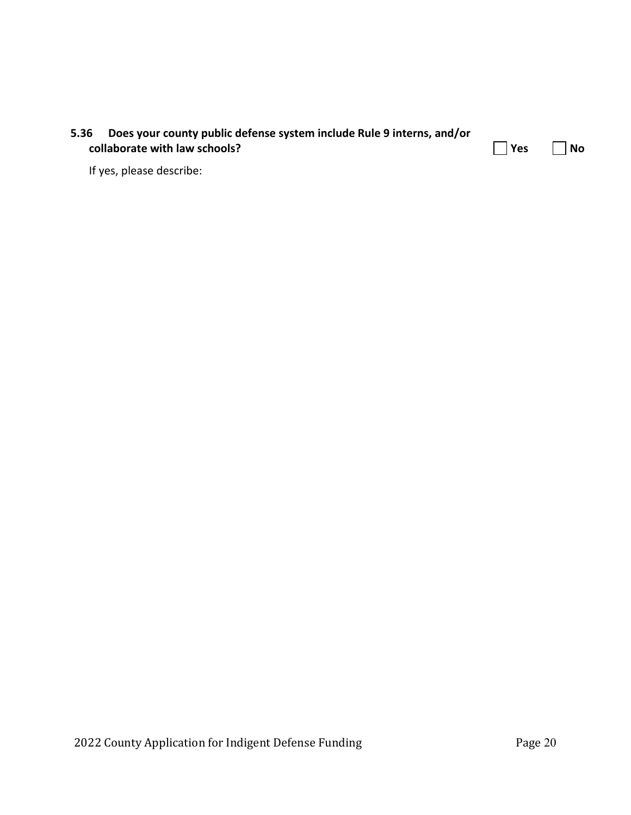| 5.36                          | Does your county public defense system include Rule 9 interns, and/or |                      |  |
|-------------------------------|-----------------------------------------------------------------------|----------------------|--|
| collaborate with law schools? |                                                                       | $\Box$ Yes $\Box$ No |  |
|                               | If yes, please describe:                                              |                      |  |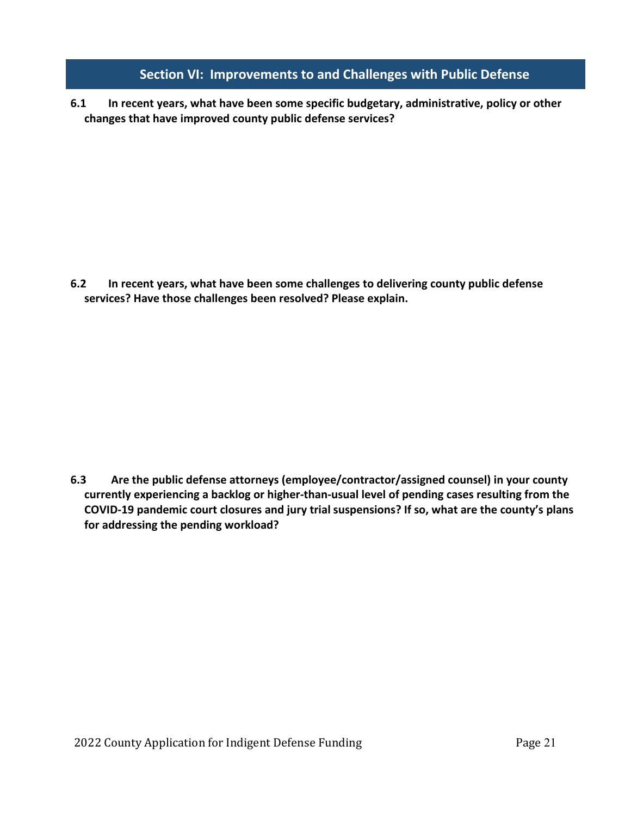### **Section VI: Improvements to and Challenges with Public Defense**

**6.1 In recent years, what have been some specific budgetary, administrative, policy or other changes that have improved county public defense services?**

**6.2 In recent years, what have been some challenges to delivering county public defense services? Have those challenges been resolved? Please explain.**

**6.3 Are the public defense attorneys (employee/contractor/assigned counsel) in your county currently experiencing a backlog or higher-than-usual level of pending cases resulting from the COVID-19 pandemic court closures and jury trial suspensions? If so, what are the county's plans for addressing the pending workload?**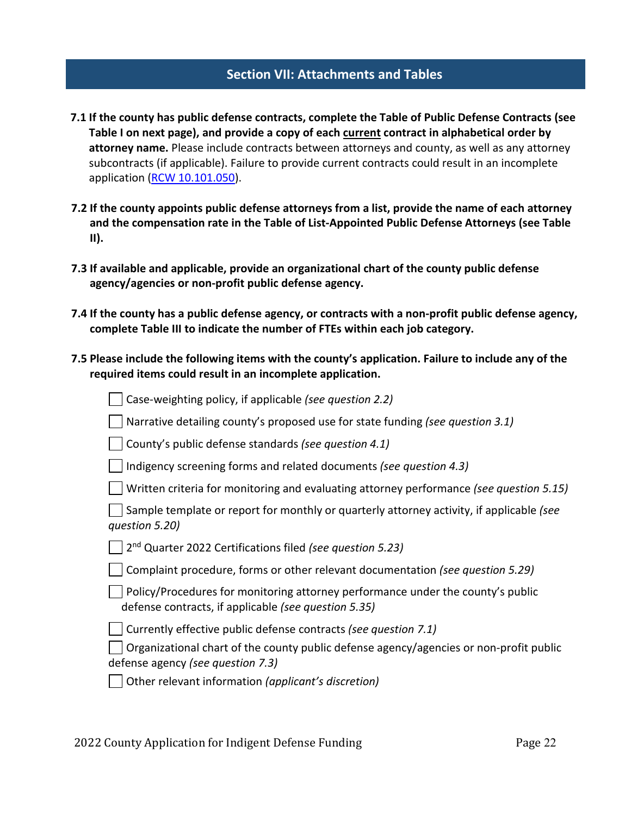### **Section VII: Attachments and Tables**

- **7.1 If the county has public defense contracts, complete the Table of Public Defense Contracts (see Table I on next page), and provide a copy of each current contract in alphabetical order by attorney name.** Please include contracts between attorneys and county, as well as any attorney subcontracts (if applicable). Failure to provide current contracts could result in an incomplete application [\(RCW 10.101.050\)](http://app.leg.wa.gov/RCW/default.aspx?cite=10.101.050).
- **7.2 If the county appoints public defense attorneys from a list, provide the name of each attorney and the compensation rate in the Table of List-Appointed Public Defense Attorneys (see Table II).**
- **7.3 If available and applicable, provide an organizational chart of the county public defense agency/agencies or non-profit public defense agency.**
- **7.4 If the county has a public defense agency, or contracts with a non-profit public defense agency, complete Table III to indicate the number of FTEs within each job category.**
- **7.5 Please include the following items with the county's application. Failure to include any of the required items could result in an incomplete application.**

| Case-weighting policy, if applicable (see question 2.2)                                                                                 |
|-----------------------------------------------------------------------------------------------------------------------------------------|
| Narrative detailing county's proposed use for state funding (see question 3.1)                                                          |
| County's public defense standards (see question 4.1)                                                                                    |
| Indigency screening forms and related documents (see question 4.3)                                                                      |
| Written criteria for monitoring and evaluating attorney performance (see question 5.15)                                                 |
| Sample template or report for monthly or quarterly attorney activity, if applicable (see<br>question 5.20)                              |
| $\vert$ 2 <sup>nd</sup> Quarter 2022 Certifications filed (see question 5.23)                                                           |
| Complaint procedure, forms or other relevant documentation (see question 5.29)                                                          |
| Policy/Procedures for monitoring attorney performance under the county's public<br>defense contracts, if applicable (see question 5.35) |
| Currently effective public defense contracts (see question 7.1)                                                                         |
| Organizational chart of the county public defense agency/agencies or non-profit public<br>defense agency <i>(see question 7.3)</i>      |
| Other relevant information (applicant's discretion)                                                                                     |
|                                                                                                                                         |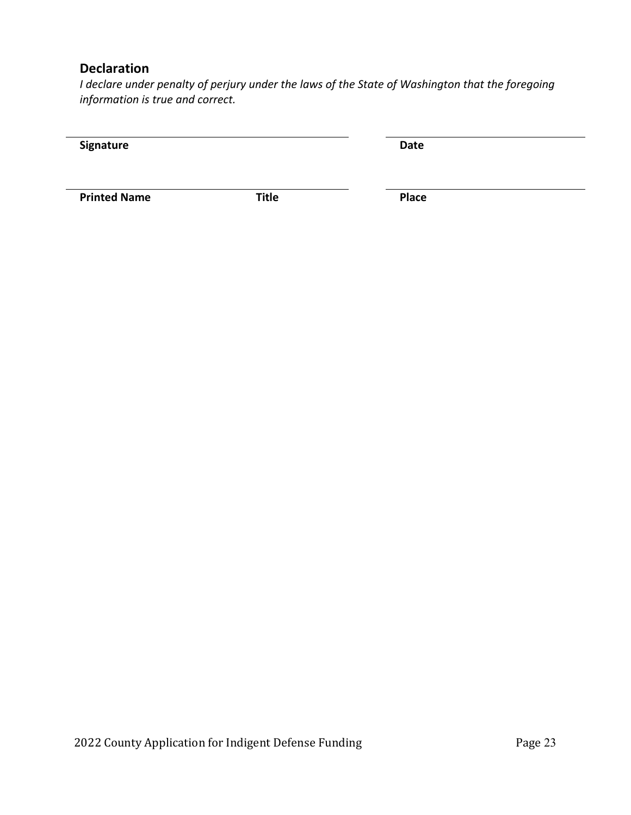## **Declaration**

*I declare under penalty of perjury under the laws of the State of Washington that the foregoing information is true and correct.*

| Signature           |              | Date         |  |
|---------------------|--------------|--------------|--|
| <b>Printed Name</b> | <b>Title</b> | <b>Place</b> |  |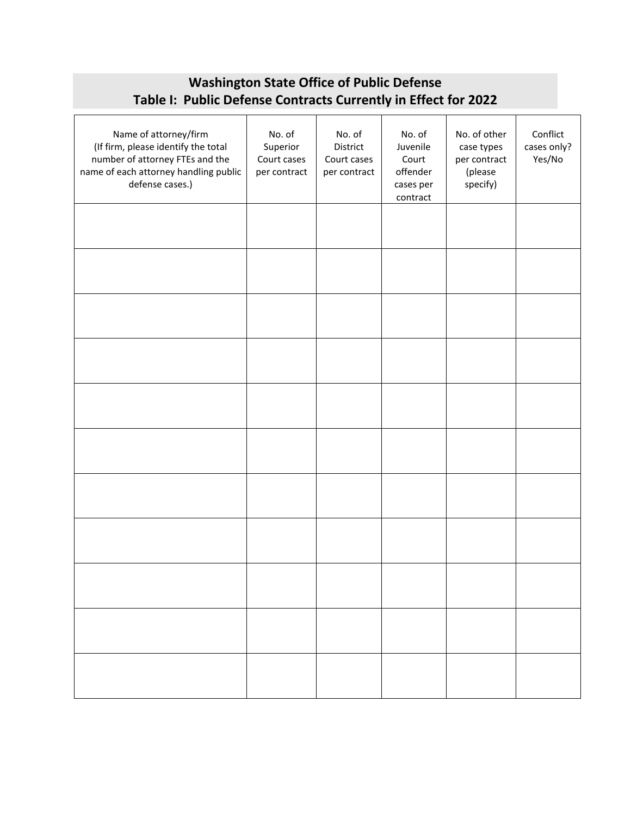## **Washington State Office of Public Defense Table I: Public Defense Contracts Currently in Effect for 2022**

| Name of attorney/firm<br>(If firm, please identify the total<br>number of attorney FTEs and the<br>name of each attorney handling public<br>defense cases.) | No. of<br>Superior<br>Court cases<br>per contract | No. of<br>District<br>Court cases<br>per contract | No. of<br>Juvenile<br>Court<br>offender<br>cases per<br>contract | No. of other<br>case types<br>per contract<br>(please<br>specify) | Conflict<br>cases only?<br>Yes/No |
|-------------------------------------------------------------------------------------------------------------------------------------------------------------|---------------------------------------------------|---------------------------------------------------|------------------------------------------------------------------|-------------------------------------------------------------------|-----------------------------------|
|                                                                                                                                                             |                                                   |                                                   |                                                                  |                                                                   |                                   |
|                                                                                                                                                             |                                                   |                                                   |                                                                  |                                                                   |                                   |
|                                                                                                                                                             |                                                   |                                                   |                                                                  |                                                                   |                                   |
|                                                                                                                                                             |                                                   |                                                   |                                                                  |                                                                   |                                   |
|                                                                                                                                                             |                                                   |                                                   |                                                                  |                                                                   |                                   |
|                                                                                                                                                             |                                                   |                                                   |                                                                  |                                                                   |                                   |
|                                                                                                                                                             |                                                   |                                                   |                                                                  |                                                                   |                                   |
|                                                                                                                                                             |                                                   |                                                   |                                                                  |                                                                   |                                   |
|                                                                                                                                                             |                                                   |                                                   |                                                                  |                                                                   |                                   |
|                                                                                                                                                             |                                                   |                                                   |                                                                  |                                                                   |                                   |
|                                                                                                                                                             |                                                   |                                                   |                                                                  |                                                                   |                                   |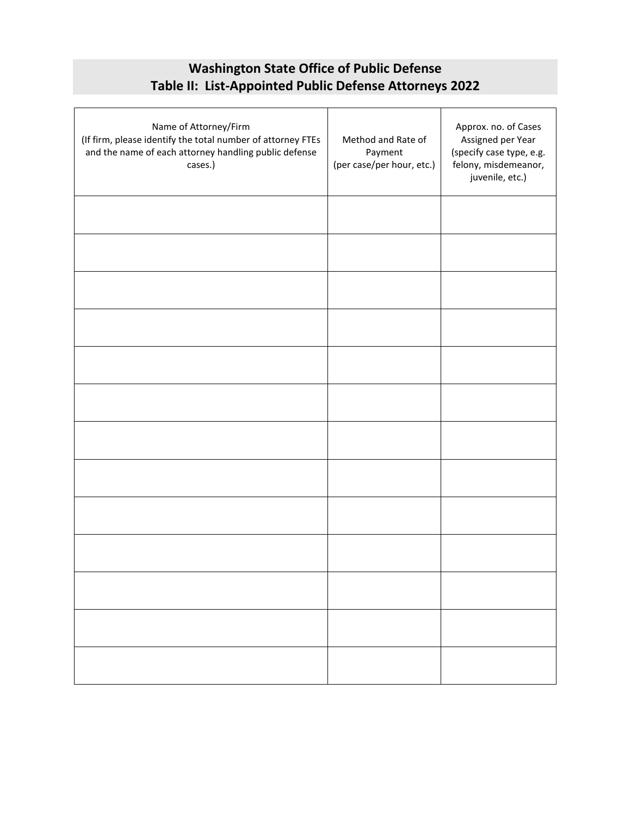## **Washington State Office of Public Defense Table II: List-Appointed Public Defense Attorneys 2022**

| Name of Attorney/Firm<br>(If firm, please identify the total number of attorney FTEs<br>and the name of each attorney handling public defense<br>cases.) | Method and Rate of<br>Payment<br>(per case/per hour, etc.) | Approx. no. of Cases<br>Assigned per Year<br>(specify case type, e.g.<br>felony, misdemeanor,<br>juvenile, etc.) |
|----------------------------------------------------------------------------------------------------------------------------------------------------------|------------------------------------------------------------|------------------------------------------------------------------------------------------------------------------|
|                                                                                                                                                          |                                                            |                                                                                                                  |
|                                                                                                                                                          |                                                            |                                                                                                                  |
|                                                                                                                                                          |                                                            |                                                                                                                  |
|                                                                                                                                                          |                                                            |                                                                                                                  |
|                                                                                                                                                          |                                                            |                                                                                                                  |
|                                                                                                                                                          |                                                            |                                                                                                                  |
|                                                                                                                                                          |                                                            |                                                                                                                  |
|                                                                                                                                                          |                                                            |                                                                                                                  |
|                                                                                                                                                          |                                                            |                                                                                                                  |
|                                                                                                                                                          |                                                            |                                                                                                                  |
|                                                                                                                                                          |                                                            |                                                                                                                  |
|                                                                                                                                                          |                                                            |                                                                                                                  |
|                                                                                                                                                          |                                                            |                                                                                                                  |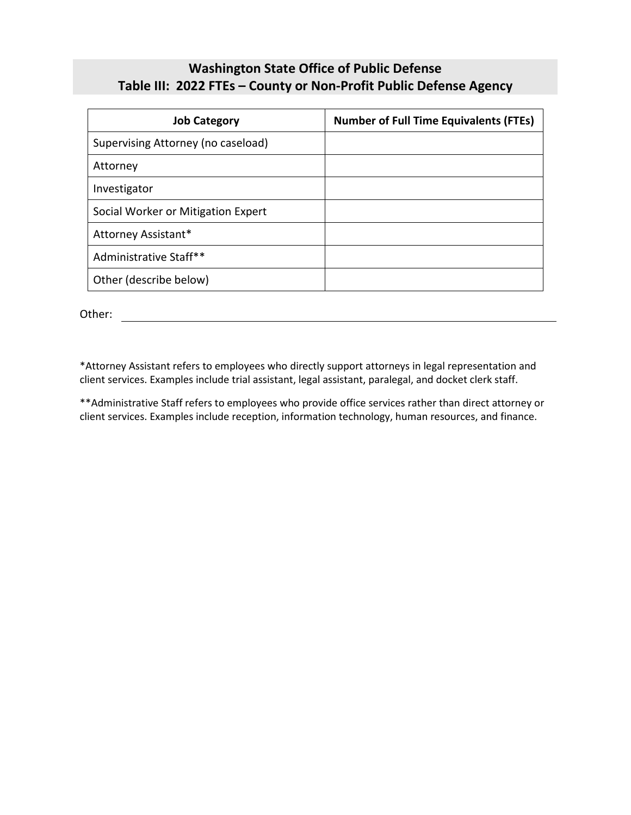## **Washington State Office of Public Defense Table III: 2022 FTEs – County or Non-Profit Public Defense Agency**

| <b>Job Category</b>                | <b>Number of Full Time Equivalents (FTEs)</b> |
|------------------------------------|-----------------------------------------------|
| Supervising Attorney (no caseload) |                                               |
| Attorney                           |                                               |
| Investigator                       |                                               |
| Social Worker or Mitigation Expert |                                               |
| Attorney Assistant*                |                                               |
| Administrative Staff**             |                                               |
| Other (describe below)             |                                               |

Other: when the contract of the contract of the contract of the contract of the contract of the contract of the contract of the contract of the contract of the contract of the contract of the contract of the contract of th

\*Attorney Assistant refers to employees who directly support attorneys in legal representation and client services. Examples include trial assistant, legal assistant, paralegal, and docket clerk staff.

\*\*Administrative Staff refers to employees who provide office services rather than direct attorney or client services. Examples include reception, information technology, human resources, and finance.